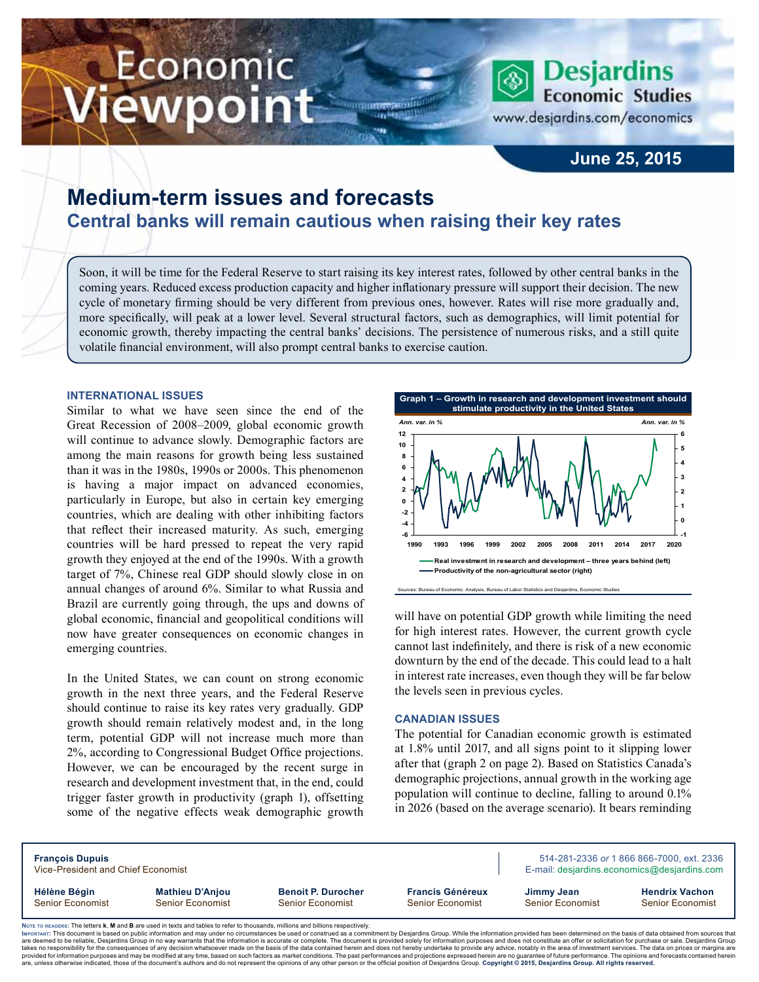# Economic ewpoint



**June 25, 2015**

# **Medium-term issues and forecasts Central banks will remain cautious when raising their key rates**

Soon, it will be time for the Federal Reserve to start raising its key interest rates, followed by other central banks in the coming years. Reduced excess production capacity and higher inflationary pressure will support their decision. The new cycle of monetary firming should be very different from previous ones, however. Rates will rise more gradually and, more specifically, will peak at a lower level. Several structural factors, such as demographics, will limit potential for economic growth, thereby impacting the central banks' decisions. The persistence of numerous risks, and a still quite volatile financial environment, will also prompt central banks to exercise caution.

#### **International issues**

Similar to what we have seen since the end of the Great Recession of 2008–2009, global economic growth will continue to advance slowly. Demographic factors are among the main reasons for growth being less sustained than it was in the 1980s, 1990s or 2000s. This phenomenon is having a major impact on advanced economies, particularly in Europe, but also in certain key emerging countries, which are dealing with other inhibiting factors that reflect their increased maturity. As such, emerging countries will be hard pressed to repeat the very rapid growth they enjoyed at the end of the 1990s. With a growth target of 7%, Chinese real GDP should slowly close in on annual changes of around 6%. Similar to what Russia and Brazil are currently going through, the ups and downs of global economic, financial and geopolitical conditions will now have greater consequences on economic changes in emerging countries.

In the United States, we can count on strong economic growth in the next three years, and the Federal Reserve should continue to raise its key rates very gradually. GDP growth should remain relatively modest and, in the long term, potential GDP will not increase much more than 2%, according to Congressional Budget Office projections. However, we can be encouraged by the recent surge in research and development investment that, in the end, could trigger faster growth in productivity (graph 1), offsetting some of the negative effects weak demographic growth



will have on potential GDP growth while limiting the need for high interest rates. However, the current growth cycle cannot last indefinitely, and there is risk of a new economic downturn by the end of the decade. This could lead to a halt in interest rate increases, even though they will be far below the levels seen in previous cycles.

#### **Canadian issues**

The potential for Canadian economic growth is estimated at 1.8% until 2017, and all signs point to it slipping lower after that (graph 2 on page 2). Based on Statistics Canada's demographic projections, annual growth in the working age population will continue to decline, falling to around 0.1% in 2026 (based on the average scenario). It bears reminding

| <b>François Dupuis</b><br>Vice-President and Chief Economist                                                                    |                                                   |                                                      | 514-281-2336 or 1 866 866-7000, ext. 2336<br>E-mail: desjardins.economics@desjardins.com |                                |                                           |  |  |  |  |
|---------------------------------------------------------------------------------------------------------------------------------|---------------------------------------------------|------------------------------------------------------|------------------------------------------------------------------------------------------|--------------------------------|-------------------------------------------|--|--|--|--|
| Hélène Bégin<br>Senior Economist                                                                                                | <b>Mathieu D'Anjou</b><br><b>Senior Economist</b> | <b>Benoit P. Durocher</b><br><b>Senior Economist</b> |                                                                                          | Jimmy Jean<br>Senior Economist | <b>Hendrix Vachon</b><br>Senior Economist |  |  |  |  |
| Note to reapers: The letters k, M and B are used in texts and tables to refer to thousands, millions and billions respectively. |                                                   |                                                      |                                                                                          |                                |                                           |  |  |  |  |

Noте то келоекs: The letters **k, M** and **B** are used in texts and tables to refer to thousands, millions and billions respectively.<br>Імроктлит: This document is based on public information and may under no circumstances be are deemed to be reliable. Desiardins Group in no way warrants that the information is accurate or complete. The document is provided solely for information purposes and does not constitute an offer or solicitation for pur takes no responsibility for the consequences of any decision whatsoever made on the basis of the data contained herein and does not hereby undertake to provide any advice, notably in the area of investment services. The da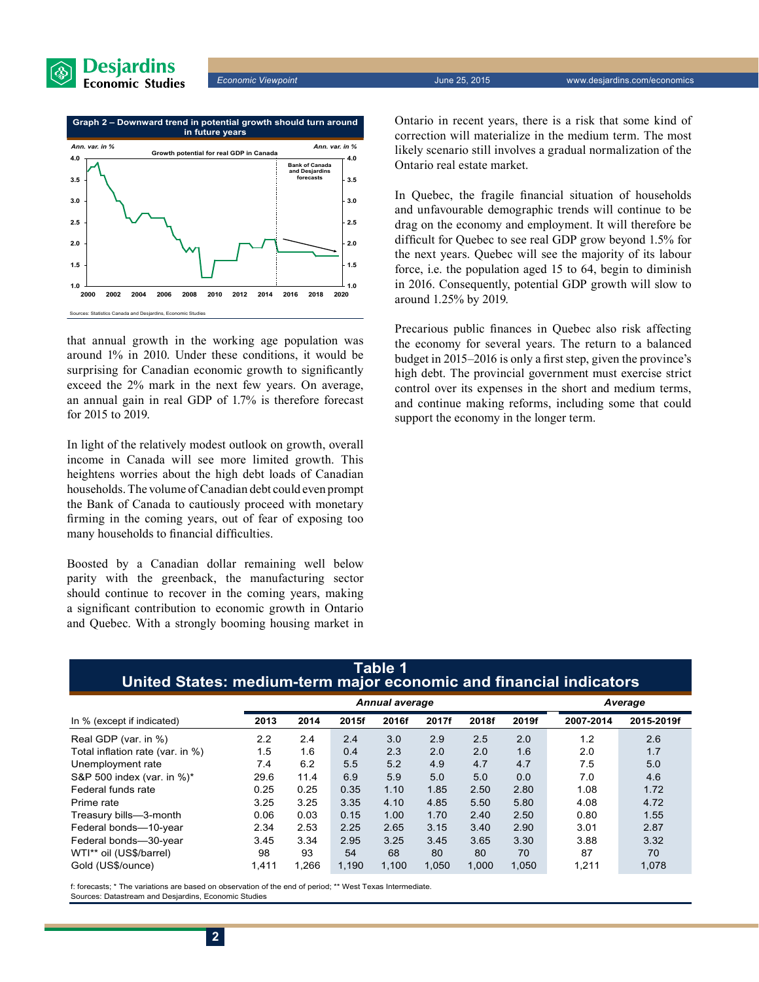



that annual growth in the working age population was around 1% in 2010. Under these conditions, it would be surprising for Canadian economic growth to significantly exceed the 2% mark in the next few years. On average, an annual gain in real GDP of 1.7% is therefore forecast for 2015 to 2019.

In light of the relatively modest outlook on growth, overall income in Canada will see more limited growth. This heightens worries about the high debt loads of Canadian households. The volume of Canadian debt could even prompt the Bank of Canada to cautiously proceed with monetary firming in the coming years, out of fear of exposing too many households to financial difficulties.

Boosted by a Canadian dollar remaining well below parity with the greenback, the manufacturing sector should continue to recover in the coming years, making a significant contribution to economic growth in Ontario and Quebec. With a strongly booming housing market in Ontario in recent years, there is a risk that some kind of correction will materialize in the medium term. The most likely scenario still involves a gradual normalization of the Ontario real estate market.

In Quebec, the fragile financial situation of households and unfavourable demographic trends will continue to be drag on the economy and employment. It will therefore be difficult for Quebec to see real GDP grow beyond 1.5% for the next years. Quebec will see the majority of its labour force, i.e. the population aged 15 to 64, begin to diminish in 2016. Consequently, potential GDP growth will slow to around 1.25% by 2019.

Precarious public finances in Quebec also risk affecting the economy for several years. The return to a balanced budget in 2015–2016 is only a first step, given the province's high debt. The provincial government must exercise strict control over its expenses in the short and medium terms, and continue making reforms, including some that could support the economy in the longer term.

### **Table 1 United States: medium-term major economic and financial indicators**

|                                  | <b>Annual average</b> |       |       |       |       |       | Average |           |            |
|----------------------------------|-----------------------|-------|-------|-------|-------|-------|---------|-----------|------------|
| In % (except if indicated)       | 2013                  | 2014  | 2015f | 2016f | 2017f | 2018f | 2019f   | 2007-2014 | 2015-2019f |
| Real GDP (var. in %)             | 2.2                   | 2.4   | 2.4   | 3.0   | 2.9   | 2.5   | 2.0     | 1.2       | 2.6        |
| Total inflation rate (var. in %) | 1.5                   | 1.6   | 0.4   | 2.3   | 2.0   | 2.0   | 1.6     | 2.0       | 1.7        |
| Unemployment rate                | 7.4                   | 6.2   | 5.5   | 5.2   | 4.9   | 4.7   | 4.7     | 7.5       | 5.0        |
| S&P 500 index (var. in %)*       | 29.6                  | 11.4  | 6.9   | 5.9   | 5.0   | 5.0   | 0.0     | 7.0       | 4.6        |
| Federal funds rate               | 0.25                  | 0.25  | 0.35  | 1.10  | 1.85  | 2.50  | 2.80    | 1.08      | 1.72       |
| Prime rate                       | 3.25                  | 3.25  | 3.35  | 4.10  | 4.85  | 5.50  | 5.80    | 4.08      | 4.72       |
| Treasury bills-3-month           | 0.06                  | 0.03  | 0.15  | 1.00  | 1.70  | 2.40  | 2.50    | 0.80      | 1.55       |
| Federal bonds-10-year            | 2.34                  | 2.53  | 2.25  | 2.65  | 3.15  | 3.40  | 2.90    | 3.01      | 2.87       |
| Federal bonds-30-year            | 3.45                  | 3.34  | 2.95  | 3.25  | 3.45  | 3.65  | 3.30    | 3.88      | 3.32       |
| WTI** oil (US\$/barrel)          | 98                    | 93    | 54    | 68    | 80    | 80    | 70      | 87        | 70         |
| Gold (US\$/ounce)                | 1.411                 | 1.266 | 1.190 | 1.100 | 1.050 | 1.000 | 1,050   | 1.211     | 1,078      |

f: forecasts; \* The variations are based on observation of the end of period; \*\* West Texas Intermediate. Sources: Datastream and Desjardins, Economic Studies